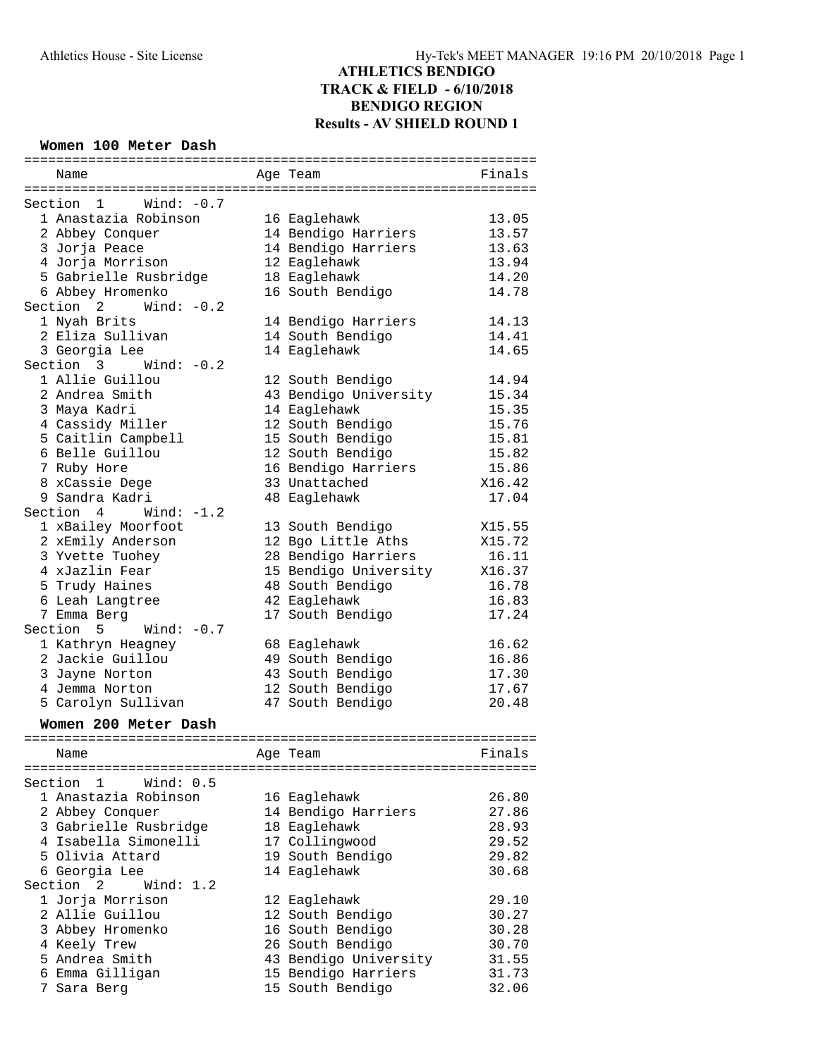#### **Women 100 Meter Dash**

| Name                      | Age Team              | Finals |
|---------------------------|-----------------------|--------|
| $Section 1$ Wind: $-0.7$  |                       |        |
| 1 Anastazia Robinson      | 16 Eaglehawk          | 13.05  |
| 2 Abbey Conquer           | 14 Bendigo Harriers   | 13.57  |
| 3 Jorja Peace             | 14 Bendigo Harriers   | 13.63  |
| 4 Jorja Morrison          | 12 Eaglehawk          | 13.94  |
| 5 Gabrielle Rusbridge     | 18 Eaglehawk          | 14.20  |
| 6 Abbey Hromenko          | 16 South Bendigo      | 14.78  |
| Section $2$ Wind: $-0.2$  |                       |        |
| 1 Nyah Brits              | 14 Bendigo Harriers   | 14.13  |
| 2 Eliza Sullivan          | 14 South Bendigo      | 14.41  |
| 3 Georgia Lee             |                       | 14.65  |
|                           | 14 Eaglehawk          |        |
| Section $3$ Wind: $-0.2$  |                       |        |
| 1 Allie Guillou           | 12 South Bendigo      | 14.94  |
| 2 Andrea Smith            | 43 Bendigo University | 15.34  |
| 3 Maya Kadri              | 14 Eaglehawk          | 15.35  |
| 4 Cassidy Miller          | 12 South Bendigo      | 15.76  |
| 5 Caitlin Campbell        | 15 South Bendigo      | 15.81  |
| 6 Belle Guillou           | 12 South Bendigo      | 15.82  |
| 7 Ruby Hore               | 16 Bendigo Harriers   | 15.86  |
| 8 xCassie Dege            | 33 Unattached         | X16.42 |
| 9 Sandra Kadri            | 48 Eaglehawk          | 17.04  |
| Section 4 Wind: -1.2      |                       |        |
| 1 xBailey Moorfoot        | 13 South Bendigo      | X15.55 |
| 2 xEmily Anderson         | 12 Bgo Little Aths    | X15.72 |
| 3 Yvette Tuohey           | 28 Bendigo Harriers   | 16.11  |
| 4 xJazlin Fear            | 15 Bendigo University | X16.37 |
| 5 Trudy Haines            | 48 South Bendigo      | 16.78  |
| 6 Leah Langtree           | 42 Eaglehawk          | 16.83  |
| 7 Emma Berg               | 17 South Bendigo      | 17.24  |
| Section 5<br>Wind: $-0.7$ |                       |        |
| 1 Kathryn Heagney         | 68 Eaglehawk          | 16.62  |
| 2 Jackie Guillou          | 49 South Bendigo      | 16.86  |
| 3 Jayne Norton            | 43 South Bendigo      | 17.30  |
| 4 Jemma Norton            | 12 South Bendigo      | 17.67  |
| 5 Carolyn Sullivan        | 47 South Bendigo      | 20.48  |
| Women 200 Meter Dash      |                       |        |
|                           |                       |        |
| Name                      | Age Team              | Finals |
| Section<br>1<br>Wind: 0.5 |                       |        |
| 1 Anastazia Robinson      | 16 Eaglehawk          | 26.80  |
| 2 Abbey Conquer           | 14 Bendigo Harriers   | 27.86  |
| 3 Gabrielle Rusbridge     |                       |        |
|                           | 18 Eaglehawk          | 28.93  |
| 4 Isabella Simonelli      | 17 Collingwood        | 29.52  |
| 5 Olivia Attard           | 19 South Bendigo      | 29.82  |
| 6 Georgia Lee             | 14 Eaglehawk          | 30.68  |
| Section<br>2<br>Wind: 1.2 |                       |        |
| 1 Jorja Morrison          | 12 Eaglehawk          | 29.10  |
| 2 Allie Guillou           | 12 South Bendigo      | 30.27  |
| 3 Abbey Hromenko          | 16 South Bendigo      | 30.28  |
| 4 Keely Trew              | 26 South Bendigo      | 30.70  |
| 5 Andrea Smith            | 43 Bendigo University | 31.55  |
| 6 Emma Gilligan           | 15 Bendigo Harriers   | 31.73  |
| 7 Sara Berg               | 15 South Bendigo      | 32.06  |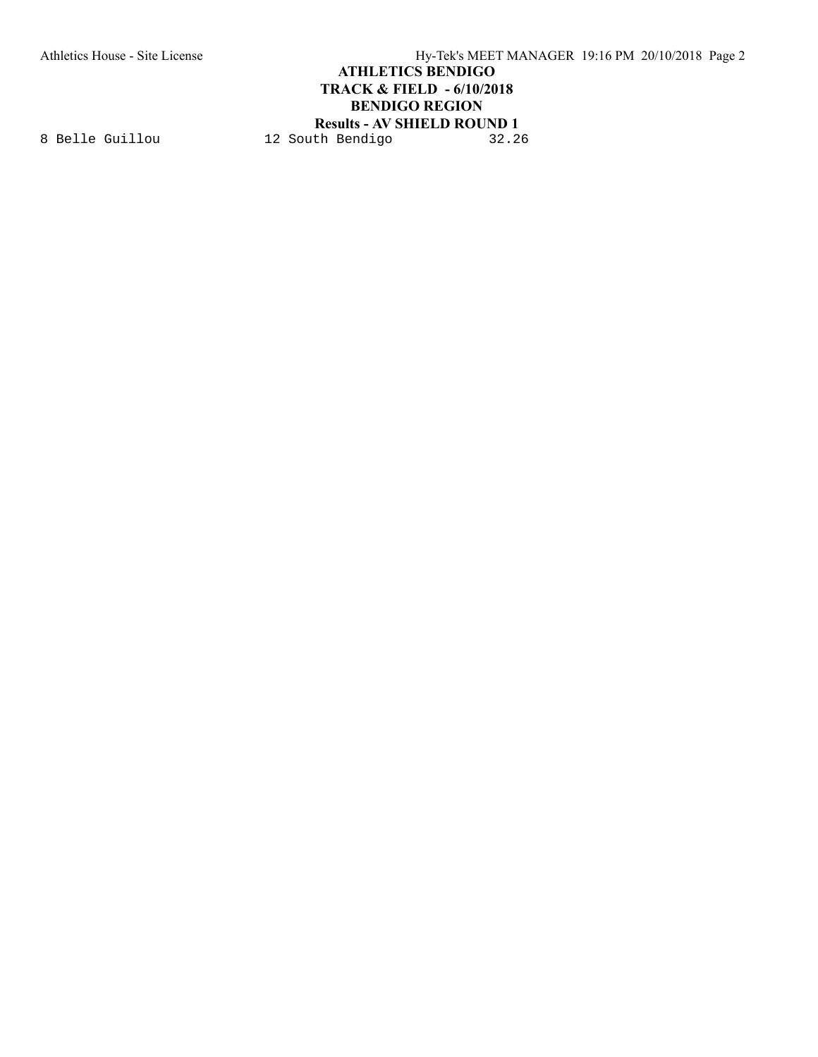Athletics House - Site License Hy-Tek's MEET MANAGER 19:16 PM 20/10/2018 Page 2 **ATHLETICS BENDIGO TRACK & FIELD - 6/10/2018 BENDIGO REGION Results - AV SHIELD ROUND 1**<br>th Bendigo 32.26

8 Belle Guillou 12 South Bendigo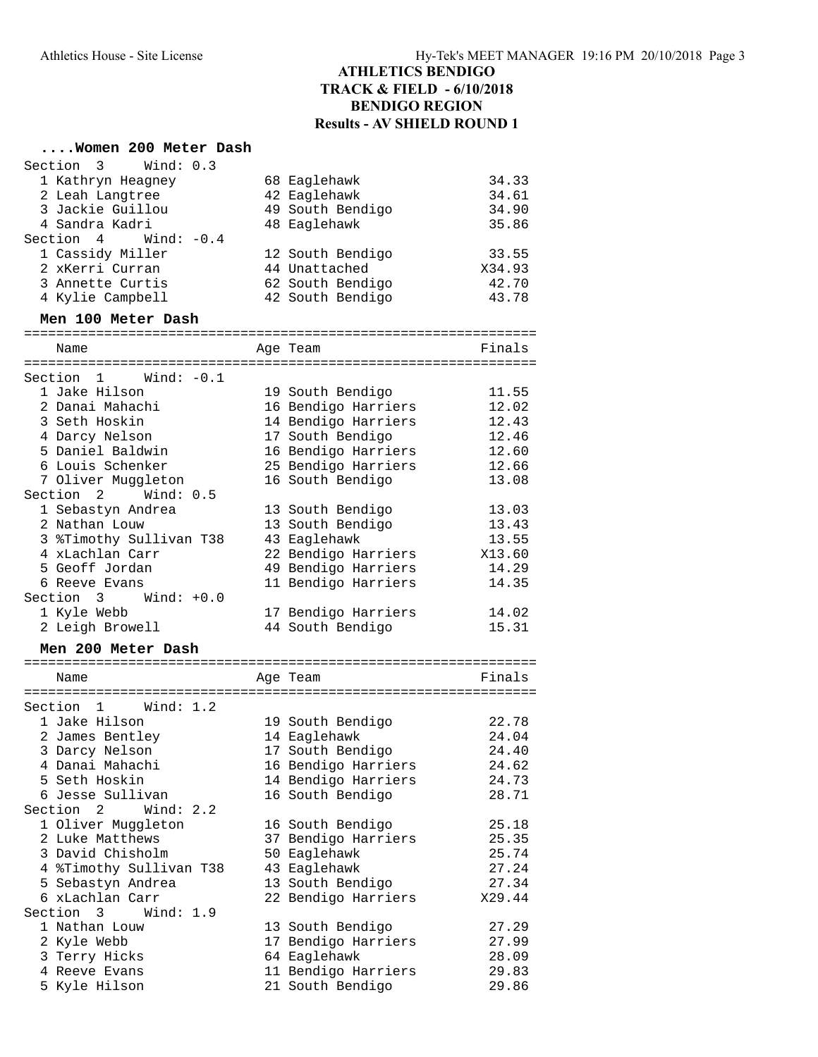### **....Women 200 Meter Dash**

| Section 3 Wind: 0.3                               |                                         |        |
|---------------------------------------------------|-----------------------------------------|--------|
| 1 Kathryn Heagney                                 | 68 Eaglehawk                            | 34.33  |
| 2 Leah Langtree                                   | 42 Eaglehawk                            | 34.61  |
| 3 Jackie Guillou                                  | 49 South Bendigo                        | 34.90  |
| 4 Sandra Kadri                                    | 48 Eaglehawk                            | 35.86  |
| Section $4$ Wind: $-0.4$                          |                                         |        |
| 1 Cassidy Miller                                  | 12 South Bendigo                        | 33.55  |
| 2 xKerri Curran                                   | 44 Unattached                           | X34.93 |
| 3 Annette Curtis                                  | 62 South Bendigo                        | 42.70  |
| 4 Kylie Campbell                                  | 42 South Bendigo                        | 43.78  |
| Men 100 Meter Dash                                |                                         |        |
|                                                   |                                         |        |
| Name                                              | Age Team                                | Finals |
|                                                   |                                         |        |
| Section $1$ Wind: $-0.1$                          |                                         |        |
| 1 Jake Hilson                                     | 19 South Bendigo                        | 11.55  |
| 2 Danai Mahachi                                   | 16 Bendigo Harriers                     | 12.02  |
| 3 Seth Hoskin                                     | 14 Bendigo Harriers                     | 12.43  |
| 4 Darcy Nelson                                    | 17 South Bendigo                        | 12.46  |
| 5 Daniel Baldwin                                  | 16 Bendigo Harriers                     | 12.60  |
| 6 Louis Schenker                                  | 25 Bendigo Harriers                     | 12.66  |
| 7 Oliver Muggleton                                | 16 South Bendigo                        | 13.08  |
| Section 2 Wind: 0.5                               |                                         |        |
| 1 Sebastyn Andrea                                 | 13 South Bendigo                        | 13.03  |
| 2 Nathan Louw                                     | 13 South Bendigo                        | 13.43  |
| 3 %Timothy Sullivan T38                           | 43 Eaglehawk                            | 13.55  |
| 4 xLachlan Carr                                   | 22 Bendigo Harriers                     | X13.60 |
| 5 Geoff Jordan                                    | 49 Bendigo Harriers                     | 14.29  |
| 6 Reeve Evans                                     | 11 Bendigo Harriers                     | 14.35  |
| Section $3$ Wind: $+0.0$                          |                                         |        |
|                                                   |                                         | 14.02  |
| 1 Kyle Webb<br>2 Leigh Browell                    | 17 Bendigo Harriers<br>44 South Bendigo | 15.31  |
|                                                   |                                         |        |
| Men 200 Meter Dash                                |                                         |        |
|                                                   |                                         |        |
| Name                                              | Age Team                                | Finals |
|                                                   |                                         |        |
| Section 1 Wind: 1.2                               |                                         |        |
| 1 Jake Hilson                                     | 19 South Bendigo                        | 22.78  |
| 2 James Bentley                                   | 14 Eaglehawk                            | 24.04  |
| 3 Darcy Nelson                                    | 17 South Bendigo                        | 24.40  |
| 4 Danai Mahachi                                   | 16 Bendigo Harriers                     | 24.62  |
| 5 Seth Hoskin                                     | 14 Bendigo Harriers                     | 24.73  |
| 6 Jesse Sullivan                                  | 16 South Bendigo                        | 28.71  |
| Section 2<br>Wind: $2.2$                          |                                         |        |
| 1 Oliver Muggleton                                | 16 South Bendigo                        | 25.18  |
| 2 Luke Matthews                                   | 37 Bendigo Harriers                     | 25.35  |
| 3 David Chisholm                                  | 50 Eaglehawk                            | 25.74  |
| 4 %Timothy Sullivan T38                           | 43 Eaglehawk                            | 27.24  |
| 5 Sebastyn Andrea                                 | 13 South Bendigo                        | 27.34  |
| 6 xLachlan Carr                                   | 22 Bendigo Harriers                     | X29.44 |
| Wind: $1.9$<br>Section<br>$\overline{\mathbf{3}}$ |                                         |        |
| 1 Nathan Louw                                     | 13 South Bendigo                        | 27.29  |
| 2 Kyle Webb                                       | 17 Bendigo Harriers                     | 27.99  |
| 3 Terry Hicks                                     | 64 Eaglehawk                            | 28.09  |
| 4 Reeve Evans                                     | 11 Bendigo Harriers                     | 29.83  |
| 5 Kyle Hilson                                     | 21 South Bendigo                        | 29.86  |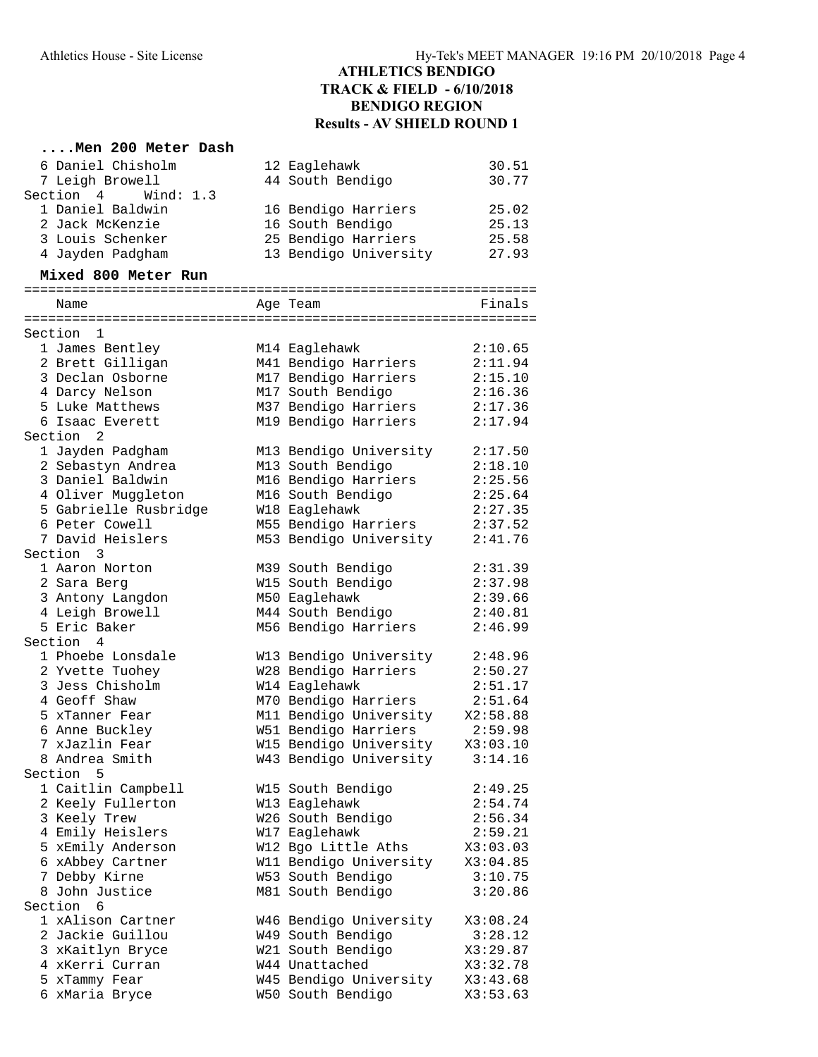### **....Men 200 Meter Dash**

|           | 6 Daniel Chisholm     | 12 Eaglehawk           | 30.51    |
|-----------|-----------------------|------------------------|----------|
|           | 7 Leigh Browell       | 44 South Bendigo       | 30.77    |
| Section 4 | Wind: $1.3$           |                        |          |
|           | 1 Daniel Baldwin      | 16 Bendigo Harriers    | 25.02    |
|           | 2 Jack McKenzie       | 16 South Bendigo       | 25.13    |
|           | 3 Louis Schenker      | 25 Bendigo Harriers    | 25.58    |
|           | 4 Jayden Padgham      | 13 Bendigo University  | 27.93    |
|           |                       |                        |          |
|           | Mixed 800 Meter Run   |                        |          |
|           | Name                  | Age Team               | Finals   |
|           |                       |                        |          |
| Section 1 |                       |                        |          |
|           | 1 James Bentley       | M14 Eaglehawk          | 2:10.65  |
|           | 2 Brett Gilligan      | M41 Bendigo Harriers   | 2:11.94  |
|           | 3 Declan Osborne      | M17 Bendigo Harriers   | 2:15.10  |
|           | 4 Darcy Nelson        | M17 South Bendigo      | 2:16.36  |
|           | 5 Luke Matthews       | M37 Bendigo Harriers   | 2:17.36  |
|           | 6 Isaac Everett       | M19 Bendigo Harriers   | 2:17.94  |
| Section   | 2                     |                        |          |
|           | 1 Jayden Padgham      | M13 Bendigo University | 2:17.50  |
|           | 2 Sebastyn Andrea     | M13 South Bendigo      | 2:18.10  |
|           | 3 Daniel Baldwin      | M16 Bendigo Harriers   | 2:25.56  |
|           | 4 Oliver Muggleton    | M16 South Bendigo      | 2:25.64  |
|           | 5 Gabrielle Rusbridge | W18 Eaglehawk          | 2:27.35  |
|           | 6 Peter Cowell        | M55 Bendigo Harriers   | 2:37.52  |
|           | 7 David Heislers      | M53 Bendigo University | 2:41.76  |
| Section 3 |                       |                        |          |
|           | 1 Aaron Norton        | M39 South Bendigo      | 2:31.39  |
|           | 2 Sara Berg           | W15 South Bendigo      | 2:37.98  |
|           | 3 Antony Langdon      | M50 Eaglehawk          | 2:39.66  |
|           | 4 Leigh Browell       | M44 South Bendigo      | 2:40.81  |
|           | 5 Eric Baker          | M56 Bendigo Harriers   | 2:46.99  |
| Section   | 4                     |                        |          |
|           | 1 Phoebe Lonsdale     | W13 Bendigo University | 2:48.96  |
|           | 2 Yvette Tuohey       | W28 Bendigo Harriers   | 2:50.27  |
|           | 3 Jess Chisholm       | W14 Eaglehawk          | 2:51.17  |
|           | 4 Geoff Shaw          | M70 Bendigo Harriers   | 2:51.64  |
|           | 5 xTanner Fear        | M11 Bendigo University | X2:58.88 |
|           | 6 Anne Buckley        | W51 Bendigo Harriers   | 2:59.98  |
|           | 7 xJazlin Fear        | W15 Bendigo University | X3:03.10 |
|           | 8 Andrea Smith        | W43 Bendigo University | 3:14.16  |
| Section   | - 5                   |                        |          |
|           | 1 Caitlin Campbell    | W15 South Bendigo      | 2:49.25  |
|           | 2 Keely Fullerton     | W13 Eaglehawk          | 2:54.74  |
|           | 3 Keely Trew          | W26 South Bendigo      | 2:56.34  |
|           | 4 Emily Heislers      | W17 Eaglehawk          | 2:59.21  |
|           | 5 xEmily Anderson     | W12 Bgo Little Aths    | X3:03.03 |
|           | 6 xAbbey Cartner      | W11 Bendigo University | X3:04.85 |
|           | 7 Debby Kirne         | W53 South Bendigo      | 3:10.75  |
|           | 8 John Justice        | M81 South Bendigo      | 3:20.86  |
| Section   | -6                    |                        |          |
|           | 1 xAlison Cartner     | W46 Bendigo University | X3:08.24 |
|           | 2 Jackie Guillou      | W49 South Bendigo      | 3:28.12  |
|           | 3 xKaitlyn Bryce      | W21 South Bendigo      | X3:29.87 |
|           | 4 xKerri Curran       | W44 Unattached         | X3:32.78 |
|           | 5 xTammy Fear         | W45 Bendigo University | X3:43.68 |
|           | 6 xMaria Bryce        | W50 South Bendigo      | X3:53.63 |
|           |                       |                        |          |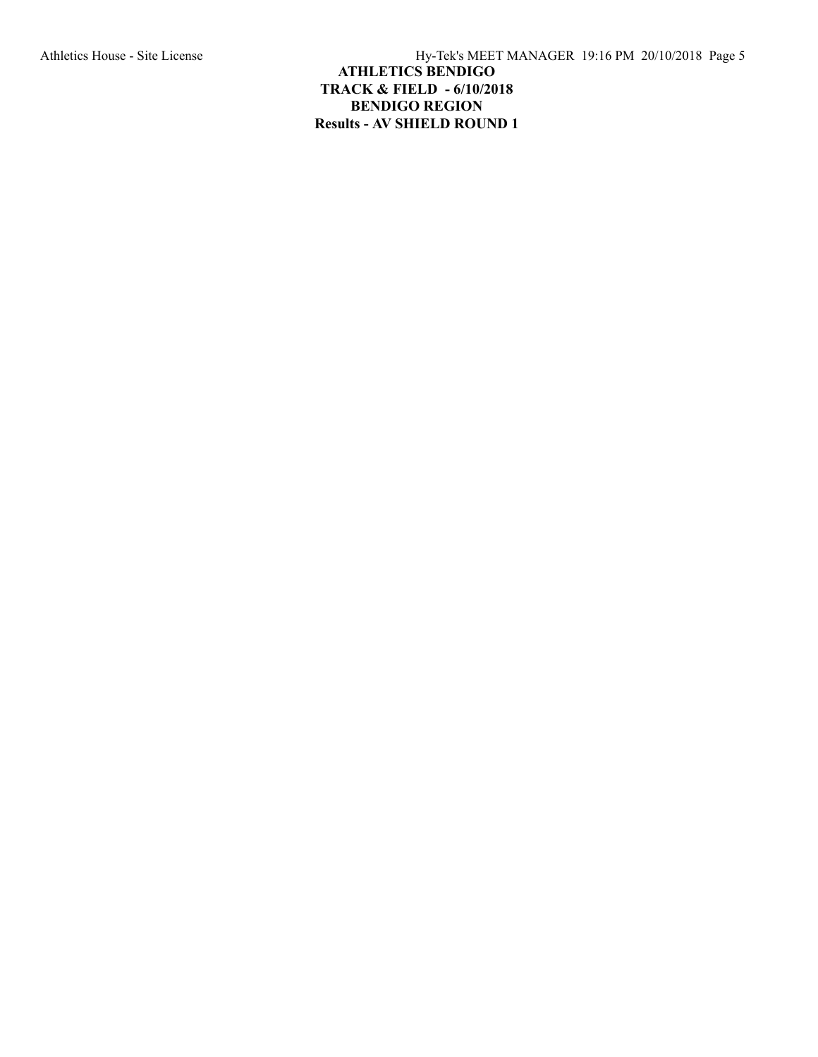Athletics House - Site License Hy-Tek's MEET MANAGER 19:16 PM 20/10/2018 Page 5

# **ATHLETICS BENDIGO TRACK & FIELD - 6/10/2018 BENDIGO REGION Results - AV SHIELD ROUND 1**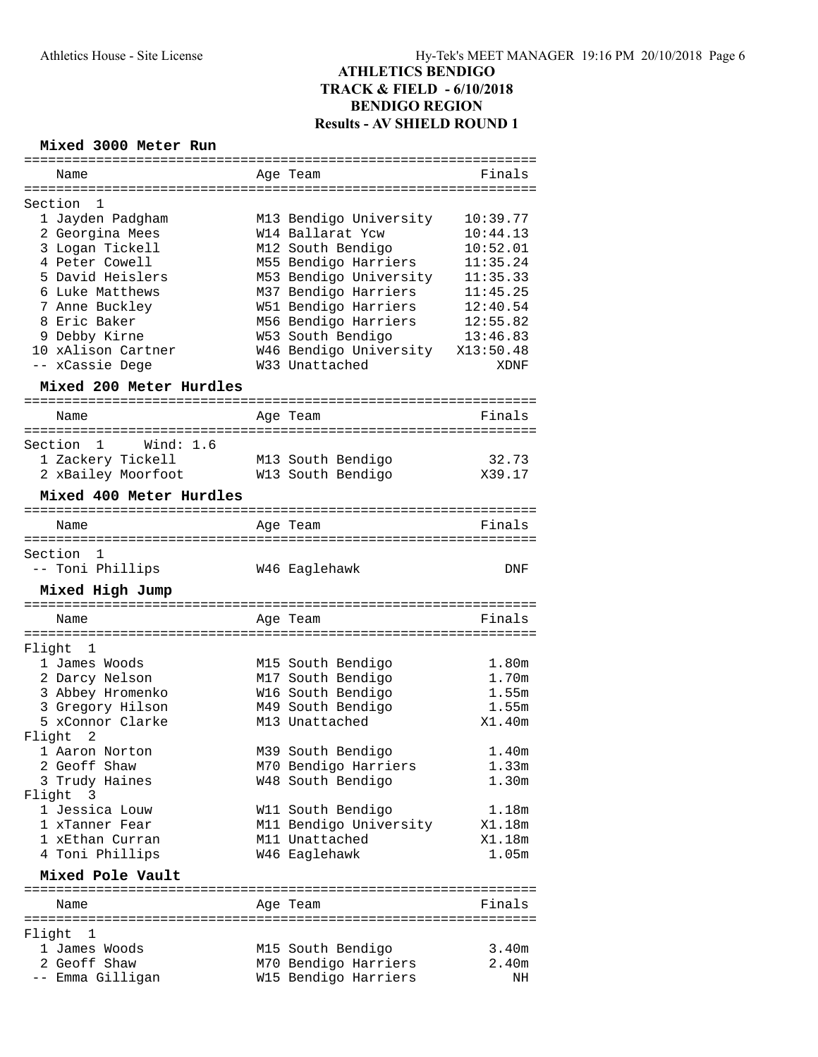#### **Mixed 3000 Meter Run**

|                                  | ========<br>======================           |                   |
|----------------------------------|----------------------------------------------|-------------------|
| Name                             | Age Team                                     | Finals            |
|                                  |                                              |                   |
| Section<br>1                     |                                              |                   |
| 1 Jayden Padgham                 | M13 Bendigo University                       | 10:39.77          |
| 2 Georgina Mees                  | W14 Ballarat Ycw                             | 10:44.13          |
| 3 Logan Tickell                  | M12 South Bendigo                            | 10:52.01          |
| 4 Peter Cowell                   | M55 Bendigo Harriers                         | 11:35.24          |
| 5 David Heislers                 | M53 Bendigo University                       | 11:35.33          |
| 6 Luke Matthews                  | M37 Bendigo Harriers                         | 11:45.25          |
| 7 Anne Buckley                   | W51 Bendigo Harriers                         | 12:40.54          |
| 8 Eric Baker                     | M56 Bendigo Harriers                         | 12:55.82          |
| 9 Debby Kirne                    | W53 South Bendigo                            | 13:46.83          |
| 10 xAlison Cartner               | W46 Bendigo University                       | X13:50.48         |
| -- xCassie Dege                  | W33 Unattached                               | XDNF              |
| Mixed 200 Meter Hurdles          |                                              |                   |
|                                  |                                              |                   |
| Name                             | Age Team                                     | Finals            |
| Section<br>1<br>Wind: $1.6$      |                                              |                   |
| 1 Zackery Tickell                | M13 South Bendigo                            | 32.73             |
| 2 xBailey Moorfoot               | W13 South Bendigo                            | X39.17            |
|                                  |                                              |                   |
| Mixed 400 Meter Hurdles          |                                              |                   |
| Name                             | Age Team                                     | Finals            |
| =======================          |                                              |                   |
| Section<br>1                     |                                              |                   |
| -- Toni Phillips                 | W46 Eaglehawk                                | DNF               |
|                                  |                                              |                   |
| Mixed High Jump                  |                                              |                   |
|                                  |                                              |                   |
| Name                             | Age Team                                     | Finals            |
| ==================               |                                              |                   |
| Flight<br>1                      |                                              |                   |
| 1 James Woods                    | M15 South Bendigo                            | 1.80m             |
| 2 Darcy Nelson                   | M17 South Bendigo                            | 1.70m             |
| 3 Abbey Hromenko                 | W16 South Bendigo                            | 1.55m             |
| 3 Gregory Hilson                 | M49 South Bendigo<br>M13 Unattached          | 1.55m             |
| 5 xConnor Clarke                 |                                              | X1.40m            |
| Flight 2                         |                                              |                   |
| 1 Aaron Norton                   | M39 South Bendigo                            | 1.40m             |
| 2 Geoff Shaw                     | M70 Bendigo Harriers                         | 1.33m             |
| 3 Trudy Haines                   | W48 South Bendigo                            | 1.30 <sub>m</sub> |
| Flight 3                         |                                              |                   |
| 1 Jessica Louw                   | W11 South Bendigo                            | 1.18m             |
| 1 xTanner Fear                   | M11 Bendigo University                       | X1.18m            |
| 1 xEthan Curran                  | M11 Unattached                               | X1.18m            |
| 4 Toni Phillips                  | W46 Eaglehawk                                | 1.05m             |
| Mixed Pole Vault                 |                                              |                   |
| Name                             |                                              | Finals            |
|                                  | Age Team                                     |                   |
| Flight<br>1                      |                                              |                   |
| 1 James Woods                    | M15 South Bendigo                            | 3.40m             |
| 2 Geoff Shaw<br>-- Emma Gilligan | M70 Bendigo Harriers<br>W15 Bendigo Harriers | 2.40m             |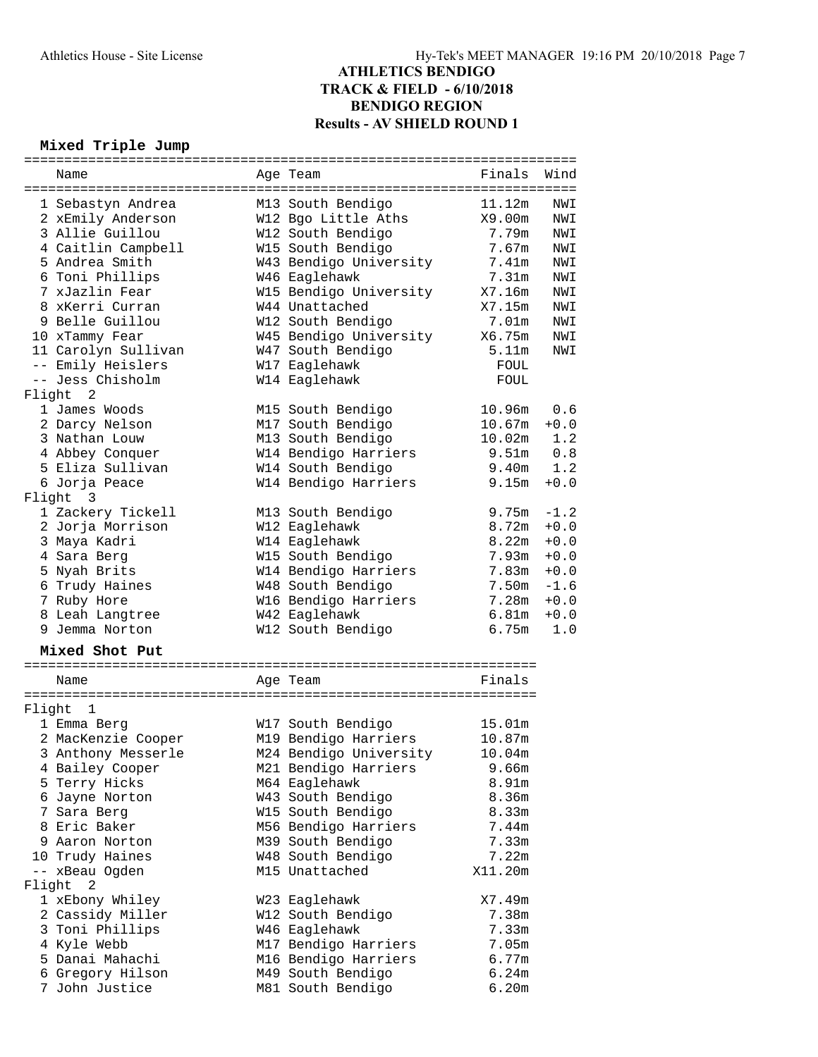#### **Mixed Triple Jump**

|        | Name                | Age Team               | Finals            | Wind   |
|--------|---------------------|------------------------|-------------------|--------|
|        | 1 Sebastyn Andrea   | M13 South Bendigo      | 11.12m            | NWI    |
|        | 2 xEmily Anderson   | W12 Bgo Little Aths    | X9.00m            | NWI    |
|        | 3 Allie Guillou     | W12 South Bendigo      | 7.79m             | NWI    |
|        | 4 Caitlin Campbell  | W15 South Bendigo      | 7.67m             | NWI    |
|        | 5 Andrea Smith      | W43 Bendigo University | 7.41m             | NWI    |
|        | 6 Toni Phillips     | W46 Eaglehawk          | 7.31m             | NWI    |
|        | 7 xJazlin Fear      | W15 Bendigo University | X7.16m            | NWI    |
|        | 8 xKerri Curran     | W44 Unattached         | X7.15m            | NWI    |
|        | 9 Belle Guillou     | W12 South Bendigo      | 7.01m             | NWI    |
|        | 10 xTammy Fear      | W45 Bendigo University | X6.75m            | NWI    |
|        | 11 Carolyn Sullivan | W47 South Bendigo      | 5.11 <sub>m</sub> | NWI    |
|        | -- Emily Heislers   | W17 Eaglehawk          | FOUL              |        |
|        | -- Jess Chisholm    | W14 Eaglehawk          | FOUL              |        |
| Flight | 2                   |                        |                   |        |
|        | 1 James Woods       | M15 South Bendigo      | 10.96m            | 0.6    |
|        | 2 Darcy Nelson      | M17 South Bendigo      | 10.67m            | $+0.0$ |
|        | 3 Nathan Louw       | M13 South Bendigo      | 10.02m            | 1.2    |
|        | 4 Abbey Conquer     | W14 Bendigo Harriers   | 9.51 <sub>m</sub> | 0.8    |
|        | 5 Eliza Sullivan    | W14 South Bendigo      | 9.40m             | 1.2    |
|        | 6 Jorja Peace       | W14 Bendigo Harriers   | 9.15m             | $+0.0$ |
|        | Flight 3            |                        |                   |        |
|        | 1 Zackery Tickell   | M13 South Bendigo      | 9.75m             | $-1.2$ |
|        | 2 Jorja Morrison    | W12 Eaglehawk          | 8.72m             | $+0.0$ |
|        | 3 Maya Kadri        | W14 Eaglehawk          | 8.22m             | $+0.0$ |
|        | 4 Sara Berg         | W15 South Bendigo      | 7.93m             | $+0.0$ |
|        | 5 Nyah Brits        | W14 Bendigo Harriers   | 7.83m             | $+0.0$ |
|        | 6 Trudy Haines      | W48 South Bendigo      | 7.50m             | $-1.6$ |
|        | 7 Ruby Hore         | W16 Bendigo Harriers   | 7.28m             | $+0.0$ |
|        | 8 Leah Langtree     | W42 Eaglehawk          | 6.81m             | $+0.0$ |
|        | 9 Jemma Norton      | W12 South Bendigo      | 6.75m             | 1.0    |
|        | Mixed Shot Put      |                        |                   |        |
|        |                     |                        |                   |        |
|        | Name                | Age Team               | Finals            |        |
| Flight | 1                   |                        |                   |        |
|        | 1 Emma Berg         | W17 South Bendigo      | 15.01m            |        |
|        | 2 MacKenzie Cooper  | M19 Bendigo Harriers   | 10.87m            |        |
|        | 3 Anthony Messerle  | M24 Bendigo University | 10.04m            |        |
|        | 4 Bailey Cooper     | M21 Bendigo Harriers   | 9.66m             |        |
|        | 5 Terry Hicks       | M64 Eaglehawk          | 8.91m             |        |
|        | 6 Jayne Norton      | W43 South Bendigo      | 8.36m             |        |
|        | 7 Sara Berg         | W15 South Bendigo      | 8.33 <sub>m</sub> |        |
|        | 8 Eric Baker        | M56 Bendigo Harriers   | 7.44m             |        |
|        | 9 Aaron Norton      | M39 South Bendigo      | 7.33m             |        |
|        | 10 Trudy Haines     | W48 South Bendigo      | 7.22m             |        |
| Flight | -- xBeau Ogden<br>2 | M15 Unattached         | X11.20m           |        |
|        | 1 xEbony Whiley     | W23 Eaglehawk          | X7.49m            |        |
|        | 2 Cassidy Miller    | W12 South Bendigo      | 7.38m             |        |
|        | 3 Toni Phillips     | W46 Eaglehawk          | 7.33m             |        |
|        | 4 Kyle Webb         | M17 Bendigo Harriers   | 7.05m             |        |
|        | 5 Danai Mahachi     | M16 Bendigo Harriers   | 6.77m             |        |
|        | 6 Gregory Hilson    | M49 South Bendigo      | 6.24m             |        |
|        | 7 John Justice      | M81 South Bendigo      | 6.20m             |        |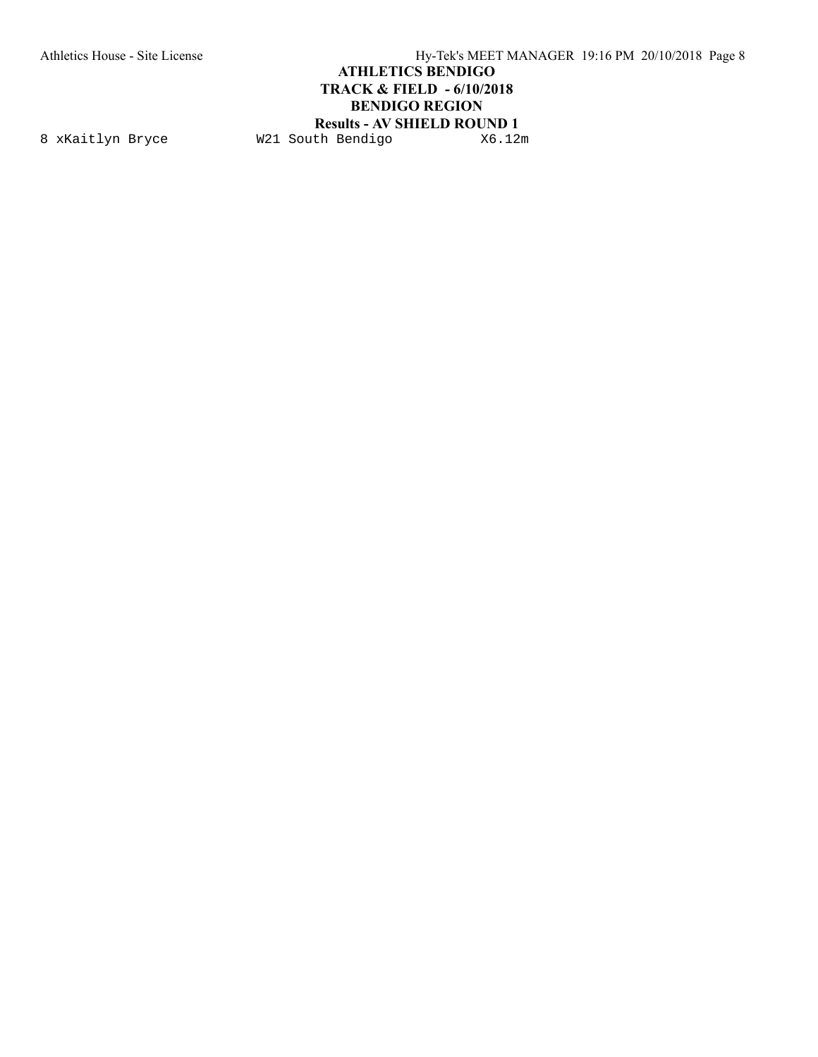Athletics House - Site License Hy-Tek's MEET MANAGER 19:16 PM 20/10/2018 Page 8

# **ATHLETICS BENDIGO TRACK & FIELD - 6/10/2018 BENDIGO REGION**

**Results - AV SHIELD ROUND 1**<br>th Bendigo  $x6.12m$ 

8 xKaitlyn Bryce W21 South Bendigo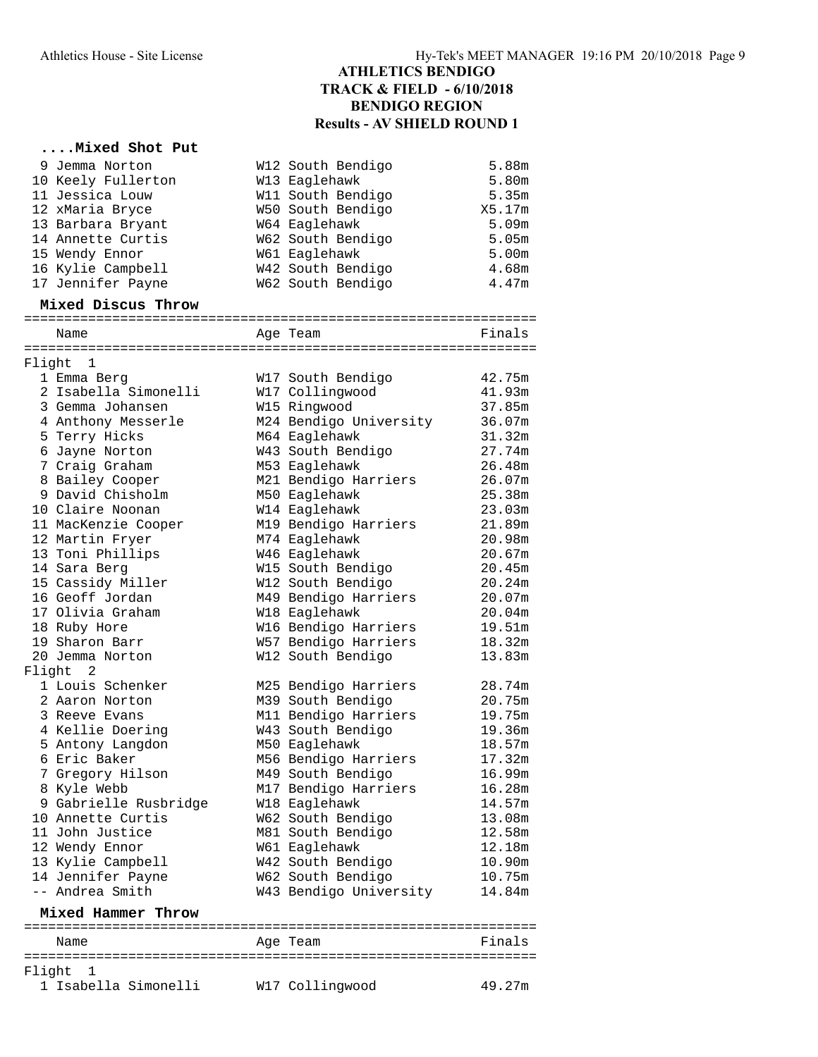### **....Mixed Shot Put**

|        | 9 Jemma Norton             | W12 South Bendigo      | 5.88m             |
|--------|----------------------------|------------------------|-------------------|
|        | 10 Keely Fullerton         | W13 Eaglehawk          | 5.80m             |
|        | 11 Jessica Louw            | W11 South Bendigo      | 5.35 <sub>m</sub> |
|        | 12 xMaria Bryce            | W50 South Bendigo      | X5.17m            |
|        | 13 Barbara Bryant          | W64 Eaglehawk          | 5.09m             |
|        | 14 Annette Curtis          |                        |                   |
|        |                            | W62 South Bendigo      | 5.05 <sub>m</sub> |
|        | 15 Wendy Ennor             | W61 Eaglehawk          | 5.00m             |
|        | 16 Kylie Campbell          | W42 South Bendigo      | 4.68m             |
|        | 17 Jennifer Payne          | W62 South Bendigo      | 4.47m             |
|        | Mixed Discus Throw         |                        |                   |
|        | Name                       | Age Team               | Finals            |
|        |                            |                        |                   |
| Flight | -1                         |                        |                   |
|        | 1 Emma Berg                | W17 South Bendigo      | 42.75m            |
|        | 2 Isabella Simonelli       | W17 Collingwood        | 41.93m            |
|        | 3 Gemma Johansen           | W15 Ringwood           | 37.85m            |
|        | 4 Anthony Messerle         | M24 Bendigo University | 36.07m            |
|        | 5 Terry Hicks              | M64 Eaglehawk          | 31.32m            |
|        | 6 Jayne Norton             | W43 South Bendigo      | 27.74m            |
|        | 7 Craig Graham             | M53 Eaglehawk          | 26.48m            |
|        | 8 Bailey Cooper            | M21 Bendigo Harriers   | 26.07m            |
|        | 9 David Chisholm           | M50 Eaglehawk          | 25.38m            |
|        | 10 Claire Noonan           | W14 Eaglehawk          | 23.03m            |
|        | 11 MacKenzie Cooper        | M19 Bendigo Harriers   | 21.89m            |
|        | 12 Martin Fryer            | M74 Eaglehawk          | 20.98m            |
|        | 13 Toni Phillips           | W46 Eaglehawk          | 20.67m            |
|        | 14 Sara Berg               | W15 South Bendigo      | 20.45m            |
|        | 15 Cassidy Miller          | W12 South Bendigo      | 20.24m            |
|        | 16 Geoff Jordan            |                        |                   |
|        |                            | M49 Bendigo Harriers   | 20.07m            |
|        | 17 Olivia Graham           | W18 Eaglehawk          | 20.04m            |
|        | 18 Ruby Hore               | W16 Bendigo Harriers   | 19.51m            |
|        | 19 Sharon Barr             | W57 Bendigo Harriers   | 18.32m            |
|        | 20 Jemma Norton            | W12 South Bendigo      | 13.83m            |
| Flight | $\overline{\phantom{a}}^2$ |                        |                   |
|        | 1 Louis Schenker           | M25 Bendigo Harriers   | 28.74m            |
|        | 2 Aaron Norton             | M39 South Bendigo      | 20.75m            |
|        | 3 Reeve Evans              | M11 Bendigo Harriers   | 19.75m            |
|        | 4 Kellie Doering           | W43 South Bendigo      | 19.36m            |
|        | 5 Antony Langdon           | M50 Eaglehawk          | 18.57m            |
|        | 6 Eric Baker               | M56 Bendigo Harriers   | 17.32m            |
|        | 7 Gregory Hilson           | M49 South Bendigo      | 16.99m            |
|        | 8 Kyle Webb                | M17 Bendigo Harriers   | 16.28m            |
|        | 9 Gabrielle Rusbridge      | W18 Eaglehawk          | 14.57m            |
|        | 10 Annette Curtis          | W62 South Bendigo      | 13.08m            |
|        | 11 John Justice            | M81 South Bendigo      | 12.58m            |
|        | 12 Wendy Ennor             | W61 Eaglehawk          | 12.18m            |
|        | 13 Kylie Campbell          | W42 South Bendigo      | 10.90m            |
|        | 14 Jennifer Payne          | W62 South Bendigo      | 10.75m            |
|        | -- Andrea Smith            | W43 Bendigo University | 14.84m            |
|        |                            |                        |                   |
|        | Mixed Hammer Throw         |                        |                   |
|        | Name                       | Age Team               | Finals            |
|        |                            |                        |                   |
| Flight | ı                          |                        |                   |

| ヒエエベロロ |                      |                 |        |
|--------|----------------------|-----------------|--------|
|        | 1 Isabella Simonelli | W17 Collingwood | 49.27m |